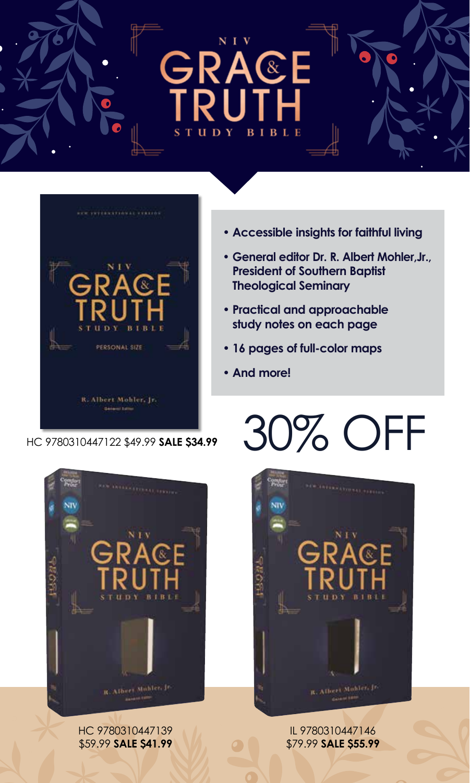





HC 9780310447139 \$59.99 **SALE \$41.99**

- **• Accessible insights for faithful living**
- **• General editor Dr. R. Albert Mohler,Jr., President of Southern Baptist Theological Seminary**
- **• Practical and approachable study notes on each page**
- **• 16 pages of full-color maps**
- **• And more!**

# HC 9780310447122 \$49.99 **SALE \$34.99** 30% OFF



IL 9780310447146 \$79.99 **SALE \$55.99**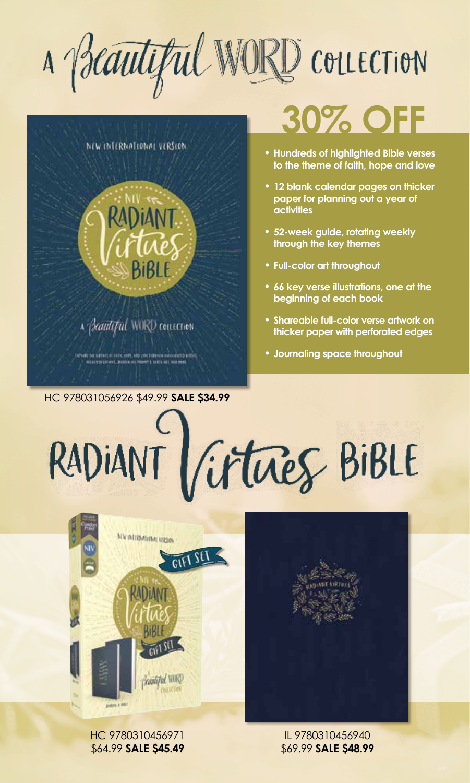A Beautiful WORD COLLECTION



# **30% OFF**

- **• Hundreds of highlighted Bible verses to the theme of faith, hope and love**
- **• 12 blank calendar pages on thicker paper for planning out a year of activities**
- **• 52-week guide, rotating weekly through the key themes**
- **• Full-color art throughout**
- **• 66 key verse illustrations, one at the beginning of each book**
- **• Shareable full-color verse artwork on thicker paper with perforated edges**
- **• Journaling space throughout**

# RADIANT Virtues BIBLE



HC 9780310456971 \$64.99 **SALE \$45.49**

IL 9780310456940 \$69.99 **SALE \$48.99**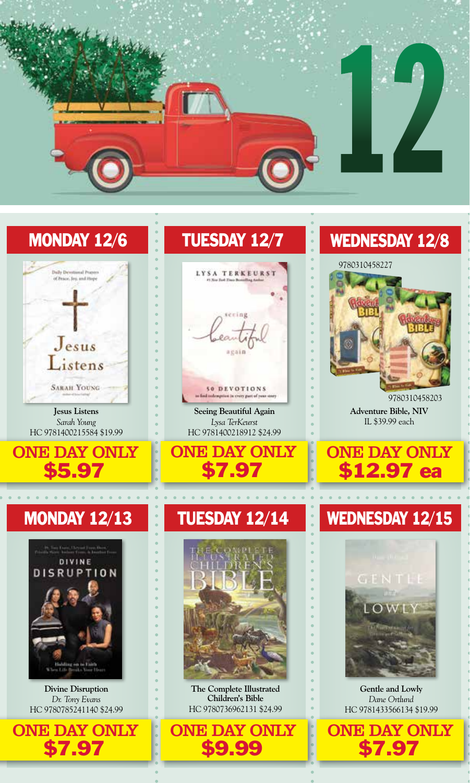

# MONDAY 12/6



**Jesus Listens** *Sarah Young* HC 9781400215584 \$19.99

ONE DAY ONLY \$5.97

# MONDAY 12/13

 $\mathbf{A} = \mathbf{A} \mathbf{A} + \mathbf{A} \mathbf{A} + \mathbf{A} \mathbf{A} + \mathbf{A} \mathbf{A}$ 



**Divine Disruption** *Dr. Tony Evans* HC 9780785241140 \$24.99



# TUESDAY 12/7



50 DEVOTIONS

**Seeing Beautiful Again** *Lysa TerKeurst* HC 9781400218912 \$24.99



### TUESDAY 12/14



**The Complete Illustrated Children's Bible** HC 9780736962131 \$24.99

ONE DAY ONLY

\$9.99

# WEDNESDAY 12/8

#### 9780310458227



9780310458203 **Adventure Bible, NIV** IL \$39.99 each



# WEDNESDAY 12/15



**Gentle and Lowly** *Dane Ortlund* HC 9781433566134 \$19.99